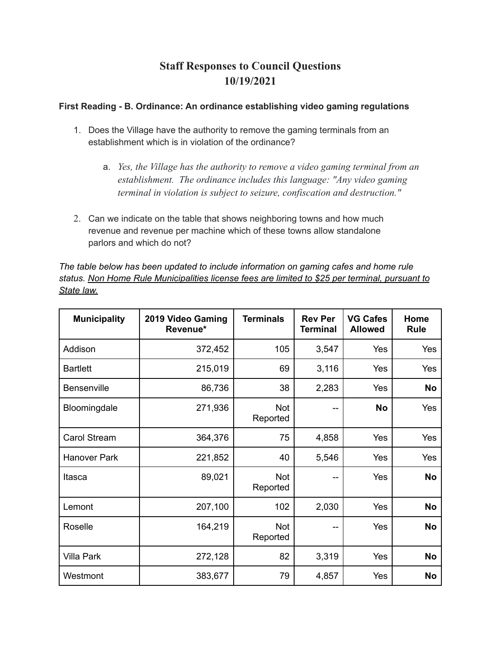## **Staff Responses to Council Questions 10/19/2021**

## **First Reading - B. Ordinance: An ordinance establishing video gaming regulations**

- 1. Does the Village have the authority to remove the gaming terminals from an establishment which is in violation of the ordinance?
	- a. *Yes, the Village has the authority to remove a video gaming terminal from an establishment. The ordinance includes this language: "Any video gaming terminal in violation is subject to seizure, confiscation and destruction."*
- 2. Can we indicate on the table that shows neighboring towns and how much revenue and revenue per machine which of these towns allow standalone parlors and which do not?

*The table below has been updated to include information on gaming cafes and home rule status. Non Home Rule Municipalities license fees are limited to \$25 per terminal, pursuant to State law.*

| <b>Municipality</b> | 2019 Video Gaming<br>Revenue* | <b>Terminals</b>       | <b>Rev Per</b><br><b>Terminal</b> | <b>VG Cafes</b><br><b>Allowed</b> | Home<br><b>Rule</b> |
|---------------------|-------------------------------|------------------------|-----------------------------------|-----------------------------------|---------------------|
| Addison             | 372,452                       | 105                    | 3,547                             | Yes                               | Yes                 |
| <b>Bartlett</b>     | 215,019                       | 69                     | 3,116                             | Yes                               | Yes                 |
| Bensenville         | 86,736                        | 38                     | 2,283                             | Yes                               | <b>No</b>           |
| Bloomingdale        | 271,936                       | <b>Not</b><br>Reported | --                                | <b>No</b>                         | Yes                 |
| Carol Stream        | 364,376                       | 75                     | 4,858                             | Yes                               | Yes                 |
| <b>Hanover Park</b> | 221,852                       | 40                     | 5,546                             | Yes                               | Yes                 |
| Itasca              | 89,021                        | <b>Not</b><br>Reported | --                                | Yes                               | <b>No</b>           |
| Lemont              | 207,100                       | 102                    | 2,030                             | Yes                               | <b>No</b>           |
| Roselle             | 164,219                       | <b>Not</b><br>Reported | --                                | Yes                               | <b>No</b>           |
| <b>Villa Park</b>   | 272,128                       | 82                     | 3,319                             | Yes                               | <b>No</b>           |
| Westmont            | 383,677                       | 79                     | 4,857                             | Yes                               | No                  |